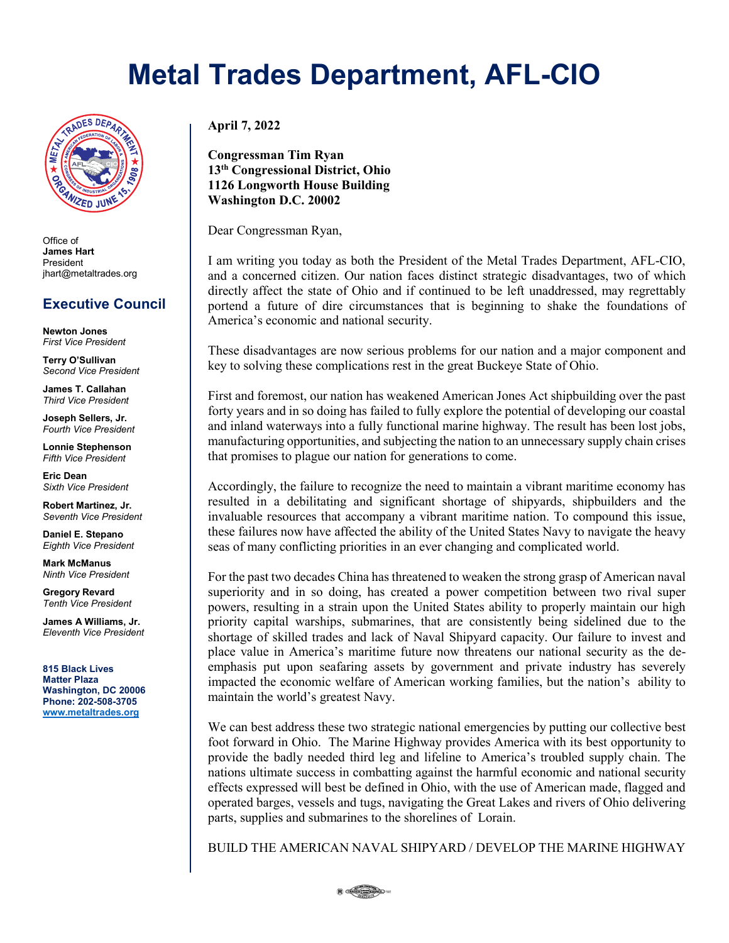## **Metal Trades Department, AFL-CIO**



Office of **James Hart** President jhart@metaltrades.org

## **Executive Council**

**Newton Jones** *First Vice President*

**Terry O'Sullivan** *Second Vice President*

**James T. Callahan** *Third Vice President*

**Joseph Sellers, Jr.** *Fourth Vice President*

**Lonnie Stephenson** *Fifth Vice President*

**Eric Dean** *Sixth Vice President*

**Robert Martinez, Jr.** *Seventh Vice President*

**Daniel E. Stepano** *Eighth Vice President*

**Mark McManus** *Ninth Vice President*

**Gregory Revard** *Tenth Vice President*

**James A Williams, Jr.** *Eleventh Vice President*

**815 Black Lives Matter Plaza Washington, DC 20006 Phone: 202-508-3705 [www.metaltrades.org](http://www.metaltrades.org/)**

**April 7, 2022**

**Congressman Tim Ryan 13th Congressional District, Ohio 1126 Longworth House Building Washington D.C. 20002**

Dear Congressman Ryan,

I am writing you today as both the President of the Metal Trades Department, AFL-CIO, and a concerned citizen. Our nation faces distinct strategic disadvantages, two of which directly affect the state of Ohio and if continued to be left unaddressed, may regrettably portend a future of dire circumstances that is beginning to shake the foundations of America's economic and national security.

These disadvantages are now serious problems for our nation and a major component and key to solving these complications rest in the great Buckeye State of Ohio.

First and foremost, our nation has weakened American Jones Act shipbuilding over the past forty years and in so doing has failed to fully explore the potential of developing our coastal and inland waterways into a fully functional marine highway. The result has been lost jobs, manufacturing opportunities, and subjecting the nation to an unnecessary supply chain crises that promises to plague our nation for generations to come.

Accordingly, the failure to recognize the need to maintain a vibrant maritime economy has resulted in a debilitating and significant shortage of shipyards, shipbuilders and the invaluable resources that accompany a vibrant maritime nation. To compound this issue, these failures now have affected the ability of the United States Navy to navigate the heavy seas of many conflicting priorities in an ever changing and complicated world.

For the past two decades China has threatened to weaken the strong grasp of American naval superiority and in so doing, has created a power competition between two rival super powers, resulting in a strain upon the United States ability to properly maintain our high priority capital warships, submarines, that are consistently being sidelined due to the shortage of skilled trades and lack of Naval Shipyard capacity. Our failure to invest and place value in America's maritime future now threatens our national security as the deemphasis put upon seafaring assets by government and private industry has severely impacted the economic welfare of American working families, but the nation's ability to maintain the world's greatest Navy.

We can best address these two strategic national emergencies by putting our collective best foot forward in Ohio. The Marine Highway provides America with its best opportunity to provide the badly needed third leg and lifeline to America's troubled supply chain. The nations ultimate success in combatting against the harmful economic and national security effects expressed will best be defined in Ohio, with the use of American made, flagged and operated barges, vessels and tugs, navigating the Great Lakes and rivers of Ohio delivering parts, supplies and submarines to the shorelines of Lorain.

BUILD THE AMERICAN NAVAL SHIPYARD / DEVELOP THE MARINE HIGHWAY